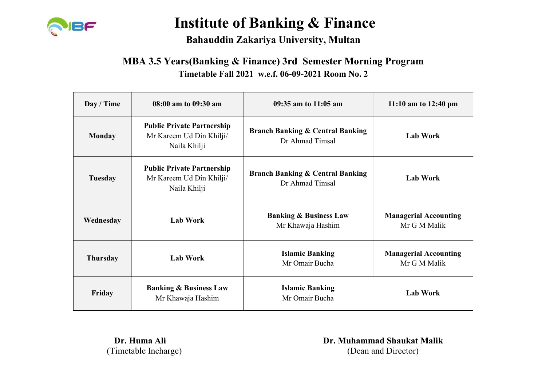

#### Bahauddin Zakariya University, Multan

#### MBA 3.5 Years(Banking & Finance) 3rd Semester Morning Program Timetable Fall 2021 w.e.f. 06-09-2021 Room No. 2

| Day / Time      | 08:00 am to 09:30 am                                                          | 09:35 am to 11:05 am                                           | 11:10 am to $12:40 \text{ pm}$               |
|-----------------|-------------------------------------------------------------------------------|----------------------------------------------------------------|----------------------------------------------|
| <b>Monday</b>   | <b>Public Private Partnership</b><br>Mr Kareem Ud Din Khilji/<br>Naila Khilji | <b>Branch Banking &amp; Central Banking</b><br>Dr Ahmad Timsal | <b>Lab Work</b>                              |
| Tuesday         | <b>Public Private Partnership</b><br>Mr Kareem Ud Din Khilji/<br>Naila Khilji | <b>Branch Banking &amp; Central Banking</b><br>Dr Ahmad Timsal | <b>Lab Work</b>                              |
| Wednesday       | <b>Lab Work</b>                                                               | <b>Banking &amp; Business Law</b><br>Mr Khawaja Hashim         | <b>Managerial Accounting</b><br>Mr G M Malik |
| <b>Thursday</b> | <b>Lab Work</b>                                                               | <b>Islamic Banking</b><br>Mr Omair Bucha                       | <b>Managerial Accounting</b><br>Mr G M Malik |
| Friday          | <b>Banking &amp; Business Law</b><br>Mr Khawaja Hashim                        | <b>Islamic Banking</b><br>Mr Omair Bucha                       | <b>Lab Work</b>                              |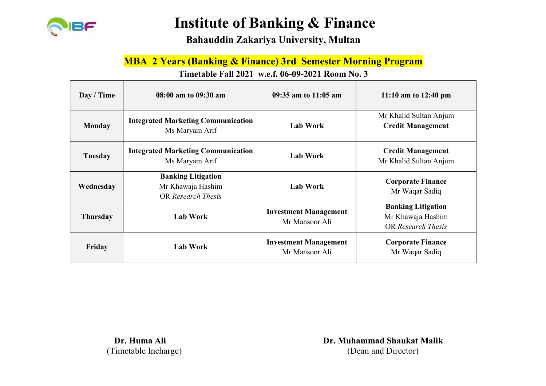

Bahauddin Zakariya University, Multan

#### MBA 2 Years (Banking & Finance) 3rd Semester Morning Program

#### Timetable Fall 2021 w.e.f. 06-09-2021 Room No. 3

| Day / Time      | 08:00 am to 09:30 am                                                 | 09:35 am to 11:05 am                           | 11:10 am to $12:40 \text{ pm}$                                              |
|-----------------|----------------------------------------------------------------------|------------------------------------------------|-----------------------------------------------------------------------------|
| <b>Monday</b>   | <b>Integrated Marketing Communication</b><br>Ms Maryam Arif          | <b>Lab Work</b>                                | Mr Khalid Sultan Anjum<br><b>Credit Management</b>                          |
| Tuesday         | <b>Integrated Marketing Communication</b><br>Ms Maryam Arif          | <b>Lab Work</b>                                | <b>Credit Management</b><br>Mr Khalid Sultan Anjum                          |
| Wednesday       | <b>Banking Litigation</b><br>Mr Khawaja Hashim<br>OR Research Thesis | <b>Lab Work</b>                                | <b>Corporate Finance</b><br>Mr Waqar Sadiq                                  |
| <b>Thursday</b> | <b>Lab Work</b>                                                      | <b>Investment Management</b><br>Mr Mansoor Ali | <b>Banking Litigation</b><br>Mr Khawaja Hashim<br><b>OR Research Thesis</b> |
| Friday          | <b>Lab Work</b>                                                      | <b>Investment Management</b><br>Mr Mansoor Ali | <b>Corporate Finance</b><br>Mr Waqar Sadiq                                  |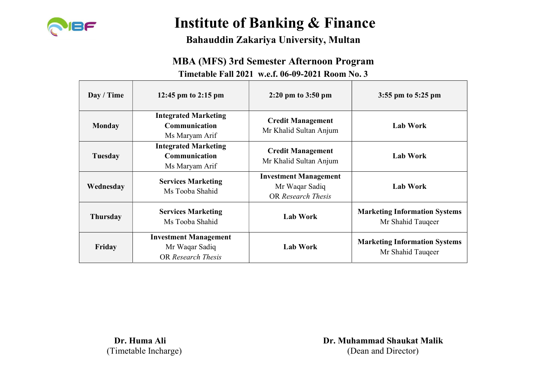

### Bahauddin Zakariya University, Multan

#### MBA (MFS) 3rd Semester Afternoon Program

#### Timetable Fall 2021 w.e.f. 06-09-2021 Room No. 3

| Day / Time      | 12:45 pm to 2:15 pm                                                  | $2:20 \text{ pm}$ to $3:50 \text{ pm}$                               | $3:55$ pm to $5:25$ pm                                    |
|-----------------|----------------------------------------------------------------------|----------------------------------------------------------------------|-----------------------------------------------------------|
| <b>Monday</b>   | <b>Integrated Marketing</b><br>Communication<br>Ms Maryam Arif       | <b>Credit Management</b><br>Mr Khalid Sultan Anjum                   | <b>Lab Work</b>                                           |
| Tuesday         | <b>Integrated Marketing</b><br>Communication<br>Ms Maryam Arif       | <b>Credit Management</b><br>Mr Khalid Sultan Anjum                   | <b>Lab Work</b>                                           |
| Wednesday       | <b>Services Marketing</b><br>Ms Tooba Shahid                         | <b>Investment Management</b><br>Mr Waqar Sadiq<br>OR Research Thesis | <b>Lab Work</b>                                           |
| <b>Thursday</b> | <b>Services Marketing</b><br>Ms Tooba Shahid                         | <b>Lab Work</b>                                                      | <b>Marketing Information Systems</b><br>Mr Shahid Taugeer |
| Friday          | <b>Investment Management</b><br>Mr Waqar Sadiq<br>OR Research Thesis | <b>Lab Work</b>                                                      | <b>Marketing Information Systems</b><br>Mr Shahid Taugeer |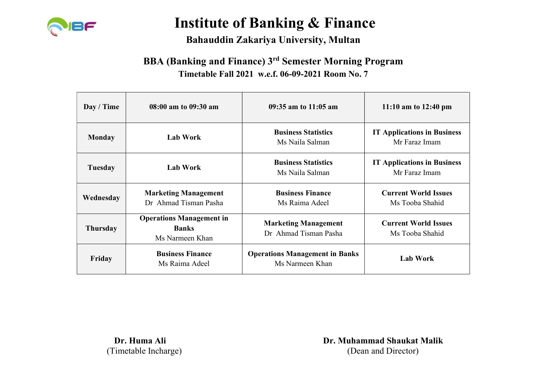

### Bahauddin Zakariya University, Multan

## BBA (Banking and Finance) 3rd Semester Morning Program Timetable Fall 2021 w.e.f. 06-09-2021 Room No. 7

| Day / Time      | 08:00 am to 09:30 am                                               | $09:35$ am to $11:05$ am                                 | 11:10 am to $12:40 \text{ pm}$                      |
|-----------------|--------------------------------------------------------------------|----------------------------------------------------------|-----------------------------------------------------|
| <b>Monday</b>   | <b>Lab Work</b>                                                    | <b>Business Statistics</b><br>Ms Naila Salman            | <b>IT Applications in Business</b><br>Mr Faraz Imam |
| Tuesday         | <b>Lab Work</b>                                                    | <b>Business Statistics</b><br>Ms Naila Salman            | <b>IT Applications in Business</b><br>Mr Faraz Imam |
| Wednesday       | <b>Marketing Management</b><br>Dr Ahmad Tisman Pasha               | <b>Business Finance</b><br>Ms Raima Adeel                | <b>Current World Issues</b><br>Ms Tooba Shahid      |
| <b>Thursday</b> | <b>Operations Management in</b><br><b>Banks</b><br>Ms Narmeen Khan | <b>Marketing Management</b><br>Dr Ahmad Tisman Pasha     | <b>Current World Issues</b><br>Ms Tooba Shahid      |
| Friday          | <b>Business Finance</b><br>Ms Raima Adeel                          | <b>Operations Management in Banks</b><br>Ms Narmeen Khan | <b>Lab Work</b>                                     |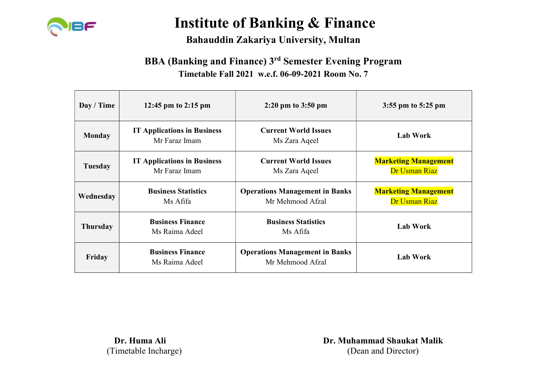

### Bahauddin Zakariya University, Multan

## BBA (Banking and Finance) 3rd Semester Evening Program Timetable Fall 2021 w.e.f. 06-09-2021 Room No. 7

| Day / Time      | 12:45 pm to 2:15 pm                                 | $2:20 \text{ pm}$ to $3:50 \text{ pm}$                    | $3:55$ pm to $5:25$ pm                       |
|-----------------|-----------------------------------------------------|-----------------------------------------------------------|----------------------------------------------|
| <b>Monday</b>   | <b>IT Applications in Business</b><br>Mr Faraz Imam | <b>Current World Issues</b><br>Ms Zara Aqeel              | <b>Lab Work</b>                              |
| Tuesday         | <b>IT Applications in Business</b><br>Mr Faraz Imam | <b>Current World Issues</b><br>Ms Zara Aqeel              | <b>Marketing Management</b><br>Dr Usman Riaz |
| Wednesday       | <b>Business Statistics</b><br>Ms Afifa              | <b>Operations Management in Banks</b><br>Mr Mehmood Afzal | <b>Marketing Management</b><br>Dr Usman Riaz |
| <b>Thursday</b> | <b>Business Finance</b><br>Ms Raima Adeel           | <b>Business Statistics</b><br>Ms Afifa                    | <b>Lab Work</b>                              |
| Friday          | <b>Business Finance</b><br>Ms Raima Adeel           | <b>Operations Management in Banks</b><br>Mr Mehmood Afzal | <b>Lab Work</b>                              |